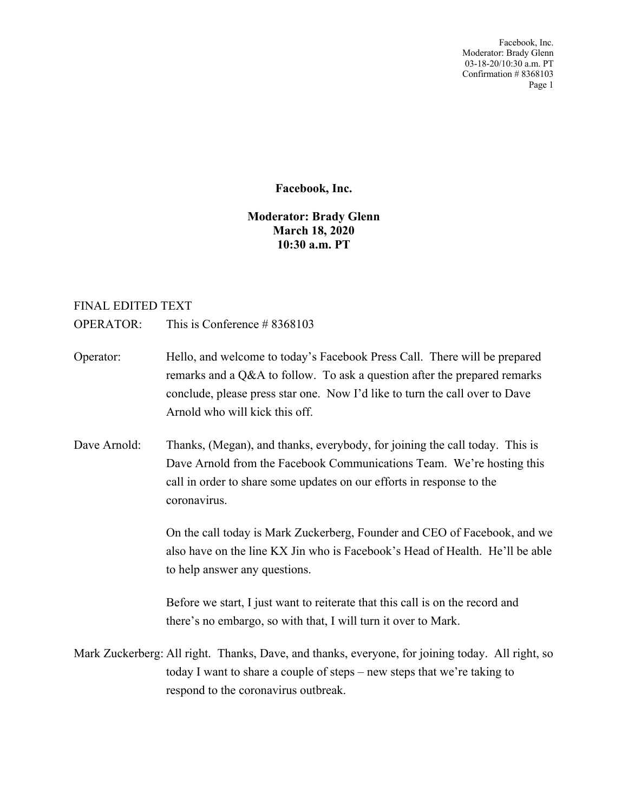Facebook, Inc. Moderator: Brady Glenn 03-18-20/10:30 a.m. PT Confirmation # 8368103 Page 1

## **Facebook, Inc.**

## **Moderator: Brady Glenn March 18, 2020 10:30 a.m. PT**

## FINAL EDITED TEXT

OPERATOR: This is Conference # 8368103

- Operator: Hello, and welcome to today's Facebook Press Call. There will be prepared remarks and a Q&A to follow. To ask a question after the prepared remarks conclude, please press star one. Now I'd like to turn the call over to Dave Arnold who will kick this off.
- Dave Arnold: Thanks, (Megan), and thanks, everybody, for joining the call today. This is Dave Arnold from the Facebook Communications Team. We're hosting this call in order to share some updates on our efforts in response to the coronavirus.

On the call today is Mark Zuckerberg, Founder and CEO of Facebook, and we also have on the line KX Jin who is Facebook's Head of Health. He'll be able to help answer any questions.

Before we start, I just want to reiterate that this call is on the record and there's no embargo, so with that, I will turn it over to Mark.

Mark Zuckerberg: All right. Thanks, Dave, and thanks, everyone, for joining today. All right, so today I want to share a couple of steps – new steps that we're taking to respond to the coronavirus outbreak.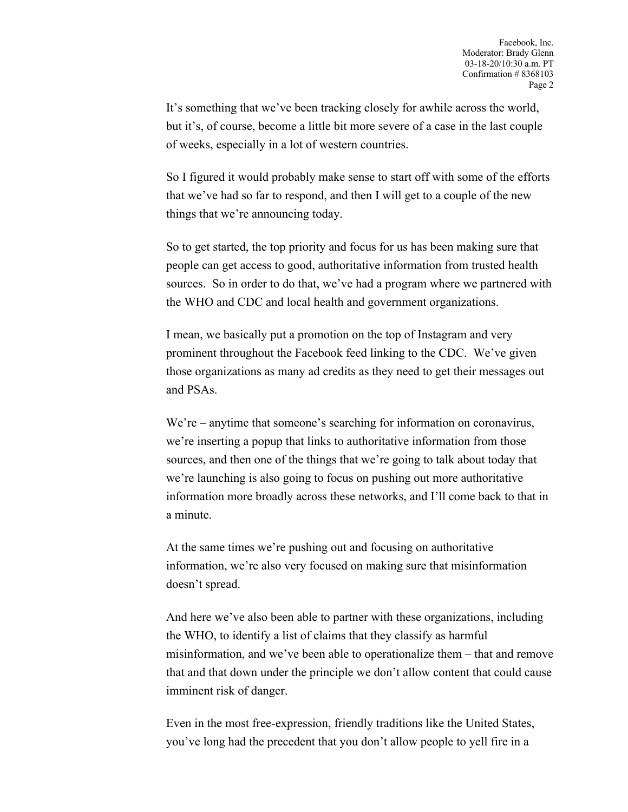It's something that we've been tracking closely for awhile across the world, but it's, of course, become a little bit more severe of a case in the last couple of weeks, especially in a lot of western countries.

So I figured it would probably make sense to start off with some of the efforts that we've had so far to respond, and then I will get to a couple of the new things that we're announcing today.

So to get started, the top priority and focus for us has been making sure that people can get access to good, authoritative information from trusted health sources. So in order to do that, we've had a program where we partnered with the WHO and CDC and local health and government organizations.

I mean, we basically put a promotion on the top of Instagram and very prominent throughout the Facebook feed linking to the CDC. We've given those organizations as many ad credits as they need to get their messages out and PSAs.

We're – anytime that someone's searching for information on coronavirus, we're inserting a popup that links to authoritative information from those sources, and then one of the things that we're going to talk about today that we're launching is also going to focus on pushing out more authoritative information more broadly across these networks, and I'll come back to that in a minute.

At the same times we're pushing out and focusing on authoritative information, we're also very focused on making sure that misinformation doesn't spread.

And here we've also been able to partner with these organizations, including the WHO, to identify a list of claims that they classify as harmful misinformation, and we've been able to operationalize them – that and remove that and that down under the principle we don't allow content that could cause imminent risk of danger.

Even in the most free-expression, friendly traditions like the United States, you've long had the precedent that you don't allow people to yell fire in a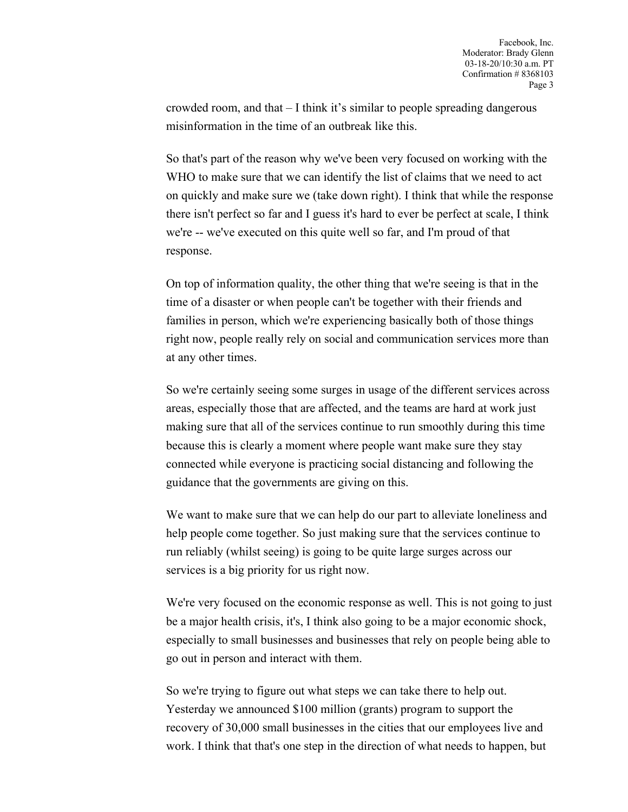crowded room, and that – I think it's similar to people spreading dangerous misinformation in the time of an outbreak like this.

So that's part of the reason why we've been very focused on working with the WHO to make sure that we can identify the list of claims that we need to act on quickly and make sure we (take down right). I think that while the response there isn't perfect so far and I guess it's hard to ever be perfect at scale, I think we're -- we've executed on this quite well so far, and I'm proud of that response.

On top of information quality, the other thing that we're seeing is that in the time of a disaster or when people can't be together with their friends and families in person, which we're experiencing basically both of those things right now, people really rely on social and communication services more than at any other times.

So we're certainly seeing some surges in usage of the different services across areas, especially those that are affected, and the teams are hard at work just making sure that all of the services continue to run smoothly during this time because this is clearly a moment where people want make sure they stay connected while everyone is practicing social distancing and following the guidance that the governments are giving on this.

We want to make sure that we can help do our part to alleviate loneliness and help people come together. So just making sure that the services continue to run reliably (whilst seeing) is going to be quite large surges across our services is a big priority for us right now.

We're very focused on the economic response as well. This is not going to just be a major health crisis, it's, I think also going to be a major economic shock, especially to small businesses and businesses that rely on people being able to go out in person and interact with them.

So we're trying to figure out what steps we can take there to help out. Yesterday we announced \$100 million (grants) program to support the recovery of 30,000 small businesses in the cities that our employees live and work. I think that that's one step in the direction of what needs to happen, but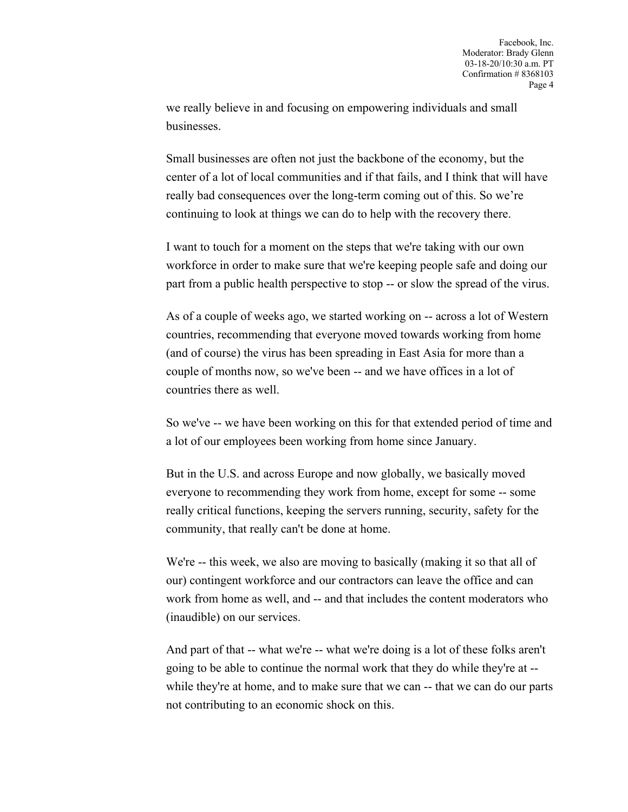we really believe in and focusing on empowering individuals and small businesses.

Small businesses are often not just the backbone of the economy, but the center of a lot of local communities and if that fails, and I think that will have really bad consequences over the long-term coming out of this. So we're continuing to look at things we can do to help with the recovery there.

I want to touch for a moment on the steps that we're taking with our own workforce in order to make sure that we're keeping people safe and doing our part from a public health perspective to stop -- or slow the spread of the virus.

As of a couple of weeks ago, we started working on -- across a lot of Western countries, recommending that everyone moved towards working from home (and of course) the virus has been spreading in East Asia for more than a couple of months now, so we've been -- and we have offices in a lot of countries there as well.

So we've -- we have been working on this for that extended period of time and a lot of our employees been working from home since January.

But in the U.S. and across Europe and now globally, we basically moved everyone to recommending they work from home, except for some -- some really critical functions, keeping the servers running, security, safety for the community, that really can't be done at home.

We're -- this week, we also are moving to basically (making it so that all of our) contingent workforce and our contractors can leave the office and can work from home as well, and -- and that includes the content moderators who (inaudible) on our services.

And part of that -- what we're -- what we're doing is a lot of these folks aren't going to be able to continue the normal work that they do while they're at - while they're at home, and to make sure that we can  $-$  that we can do our parts not contributing to an economic shock on this.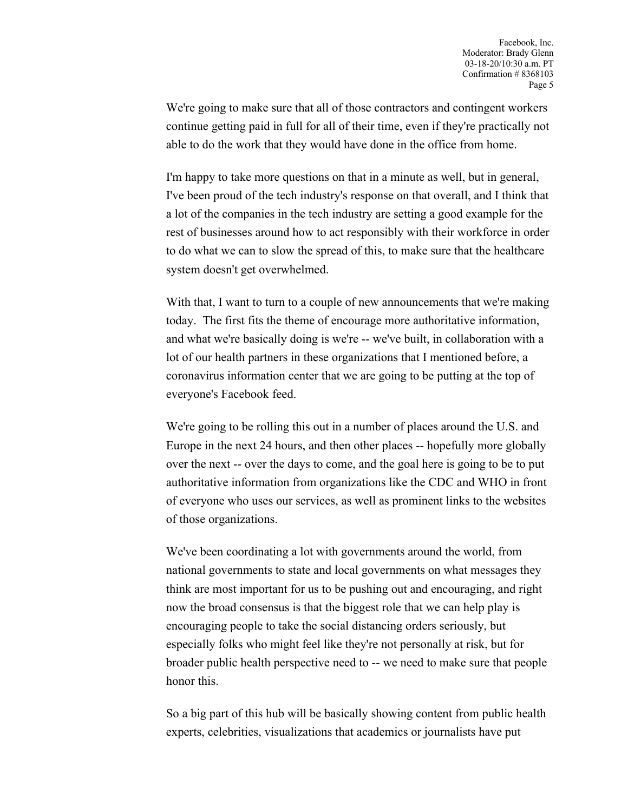We're going to make sure that all of those contractors and contingent workers continue getting paid in full for all of their time, even if they're practically not able to do the work that they would have done in the office from home.

I'm happy to take more questions on that in a minute as well, but in general, I've been proud of the tech industry's response on that overall, and I think that a lot of the companies in the tech industry are setting a good example for the rest of businesses around how to act responsibly with their workforce in order to do what we can to slow the spread of this, to make sure that the healthcare system doesn't get overwhelmed.

With that, I want to turn to a couple of new announcements that we're making today. The first fits the theme of encourage more authoritative information, and what we're basically doing is we're -- we've built, in collaboration with a lot of our health partners in these organizations that I mentioned before, a coronavirus information center that we are going to be putting at the top of everyone's Facebook feed.

We're going to be rolling this out in a number of places around the U.S. and Europe in the next 24 hours, and then other places -- hopefully more globally over the next -- over the days to come, and the goal here is going to be to put authoritative information from organizations like the CDC and WHO in front of everyone who uses our services, as well as prominent links to the websites of those organizations.

We've been coordinating a lot with governments around the world, from national governments to state and local governments on what messages they think are most important for us to be pushing out and encouraging, and right now the broad consensus is that the biggest role that we can help play is encouraging people to take the social distancing orders seriously, but especially folks who might feel like they're not personally at risk, but for broader public health perspective need to -- we need to make sure that people honor this.

So a big part of this hub will be basically showing content from public health experts, celebrities, visualizations that academics or journalists have put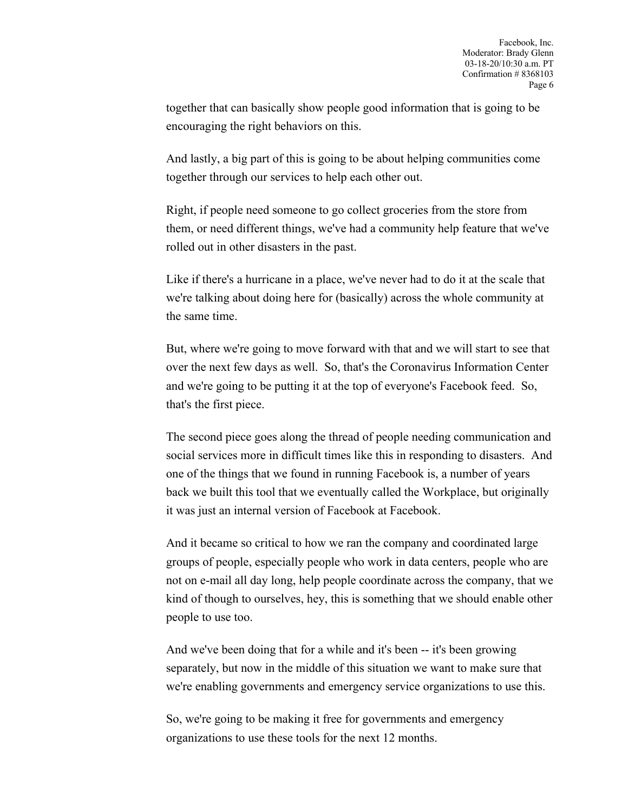together that can basically show people good information that is going to be encouraging the right behaviors on this.

And lastly, a big part of this is going to be about helping communities come together through our services to help each other out.

Right, if people need someone to go collect groceries from the store from them, or need different things, we've had a community help feature that we've rolled out in other disasters in the past.

Like if there's a hurricane in a place, we've never had to do it at the scale that we're talking about doing here for (basically) across the whole community at the same time.

But, where we're going to move forward with that and we will start to see that over the next few days as well. So, that's the Coronavirus Information Center and we're going to be putting it at the top of everyone's Facebook feed. So, that's the first piece.

The second piece goes along the thread of people needing communication and social services more in difficult times like this in responding to disasters. And one of the things that we found in running Facebook is, a number of years back we built this tool that we eventually called the Workplace, but originally it was just an internal version of Facebook at Facebook.

And it became so critical to how we ran the company and coordinated large groups of people, especially people who work in data centers, people who are not on e-mail all day long, help people coordinate across the company, that we kind of though to ourselves, hey, this is something that we should enable other people to use too.

And we've been doing that for a while and it's been -- it's been growing separately, but now in the middle of this situation we want to make sure that we're enabling governments and emergency service organizations to use this.

So, we're going to be making it free for governments and emergency organizations to use these tools for the next 12 months.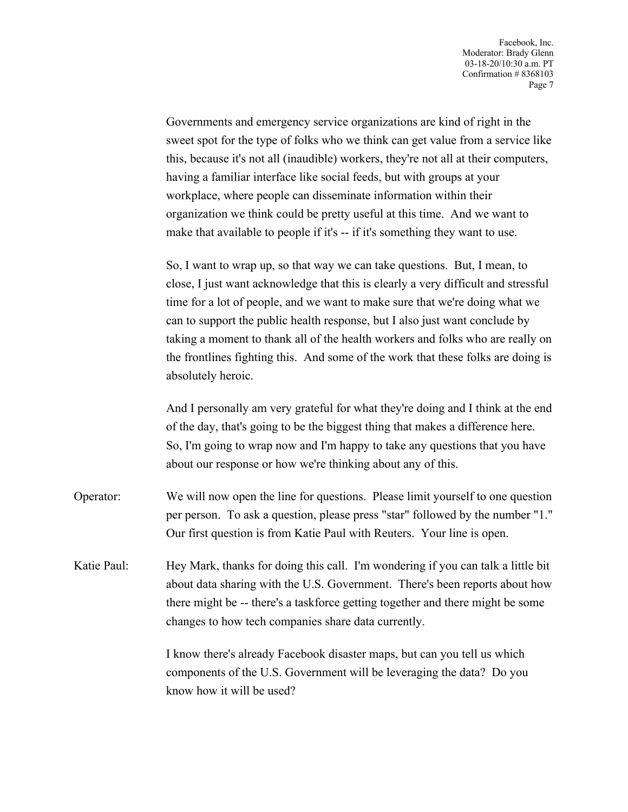Governments and emergency service organizations are kind of right in the sweet spot for the type of folks who we think can get value from a service like this, because it's not all (inaudible) workers, they're not all at their computers, having a familiar interface like social feeds, but with groups at your workplace, where people can disseminate information within their organization we think could be pretty useful at this time. And we want to make that available to people if it's -- if it's something they want to use.

So, I want to wrap up, so that way we can take questions. But, I mean, to close, I just want acknowledge that this is clearly a very difficult and stressful time for a lot of people, and we want to make sure that we're doing what we can to support the public health response, but I also just want conclude by taking a moment to thank all of the health workers and folks who are really on the frontlines fighting this. And some of the work that these folks are doing is absolutely heroic.

And I personally am very grateful for what they're doing and I think at the end of the day, that's going to be the biggest thing that makes a difference here. So, I'm going to wrap now and I'm happy to take any questions that you have about our response or how we're thinking about any of this.

- Operator: We will now open the line for questions. Please limit yourself to one question per person. To ask a question, please press "star" followed by the number "1." Our first question is from Katie Paul with Reuters. Your line is open.
- Katie Paul: Hey Mark, thanks for doing this call. I'm wondering if you can talk a little bit about data sharing with the U.S. Government. There's been reports about how there might be -- there's a taskforce getting together and there might be some changes to how tech companies share data currently.

I know there's already Facebook disaster maps, but can you tell us which components of the U.S. Government will be leveraging the data? Do you know how it will be used?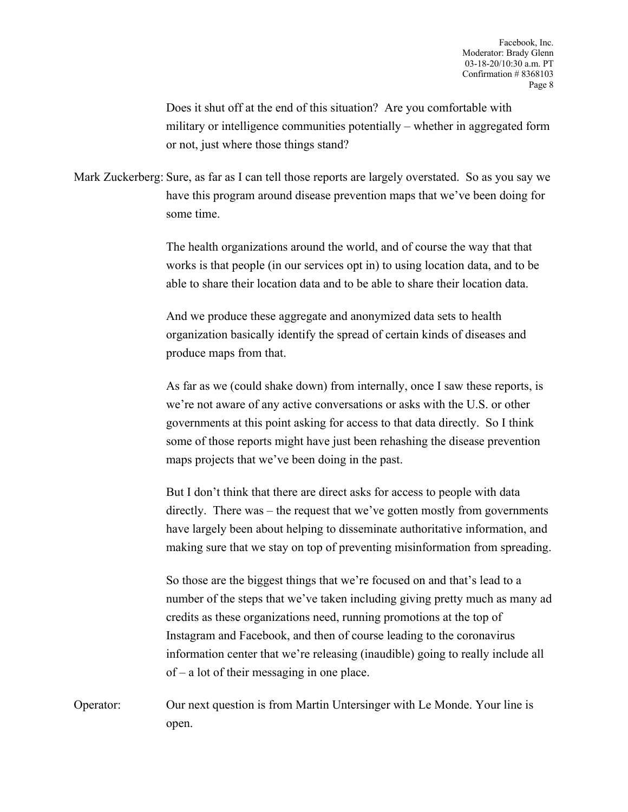Does it shut off at the end of this situation? Are you comfortable with military or intelligence communities potentially – whether in aggregated form or not, just where those things stand?

Mark Zuckerberg: Sure, as far as I can tell those reports are largely overstated. So as you say we have this program around disease prevention maps that we've been doing for some time.

> The health organizations around the world, and of course the way that that works is that people (in our services opt in) to using location data, and to be able to share their location data and to be able to share their location data.

And we produce these aggregate and anonymized data sets to health organization basically identify the spread of certain kinds of diseases and produce maps from that.

As far as we (could shake down) from internally, once I saw these reports, is we're not aware of any active conversations or asks with the U.S. or other governments at this point asking for access to that data directly. So I think some of those reports might have just been rehashing the disease prevention maps projects that we've been doing in the past.

But I don't think that there are direct asks for access to people with data directly. There was – the request that we've gotten mostly from governments have largely been about helping to disseminate authoritative information, and making sure that we stay on top of preventing misinformation from spreading.

So those are the biggest things that we're focused on and that's lead to a number of the steps that we've taken including giving pretty much as many ad credits as these organizations need, running promotions at the top of Instagram and Facebook, and then of course leading to the coronavirus information center that we're releasing (inaudible) going to really include all of – a lot of their messaging in one place.

Operator: Our next question is from Martin Untersinger with Le Monde. Your line is open.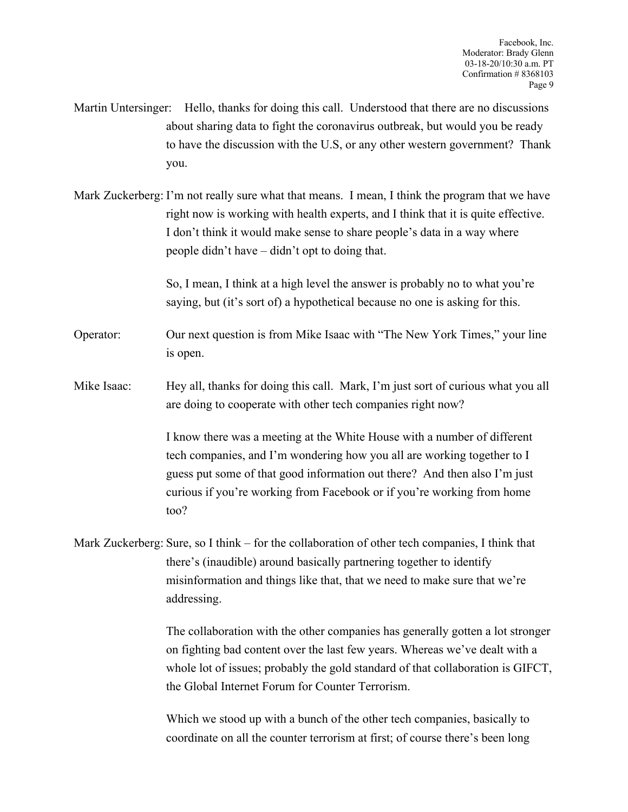- Martin Untersinger: Hello, thanks for doing this call. Understood that there are no discussions about sharing data to fight the coronavirus outbreak, but would you be ready to have the discussion with the U.S, or any other western government? Thank you.
- Mark Zuckerberg: I'm not really sure what that means. I mean, I think the program that we have right now is working with health experts, and I think that it is quite effective. I don't think it would make sense to share people's data in a way where people didn't have – didn't opt to doing that.

So, I mean, I think at a high level the answer is probably no to what you're saying, but (it's sort of) a hypothetical because no one is asking for this.

- Operator: Our next question is from Mike Isaac with "The New York Times," your line is open.
- Mike Isaac: Hey all, thanks for doing this call. Mark, I'm just sort of curious what you all are doing to cooperate with other tech companies right now?

I know there was a meeting at the White House with a number of different tech companies, and I'm wondering how you all are working together to I guess put some of that good information out there? And then also I'm just curious if you're working from Facebook or if you're working from home too?

Mark Zuckerberg: Sure, so I think – for the collaboration of other tech companies, I think that there's (inaudible) around basically partnering together to identify misinformation and things like that, that we need to make sure that we're addressing.

> The collaboration with the other companies has generally gotten a lot stronger on fighting bad content over the last few years. Whereas we've dealt with a whole lot of issues; probably the gold standard of that collaboration is GIFCT, the Global Internet Forum for Counter Terrorism.

Which we stood up with a bunch of the other tech companies, basically to coordinate on all the counter terrorism at first; of course there's been long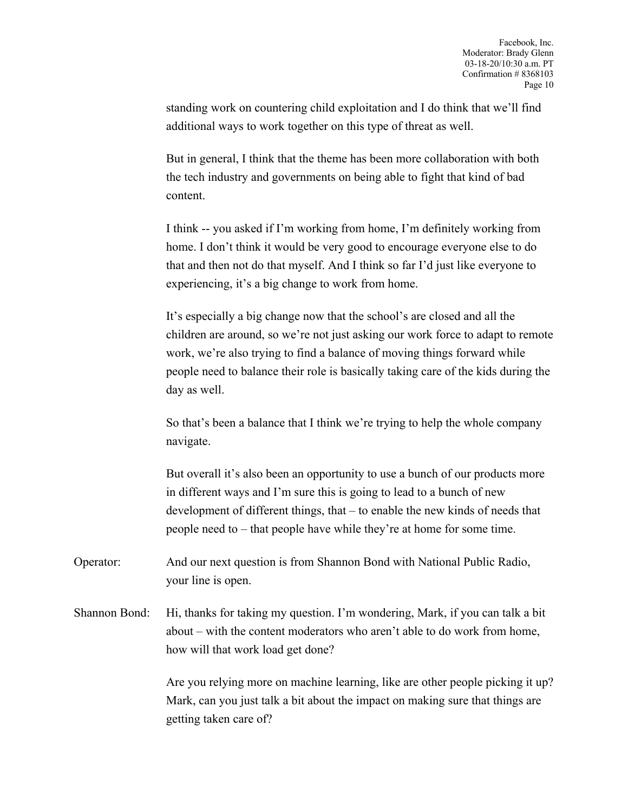standing work on countering child exploitation and I do think that we'll find additional ways to work together on this type of threat as well.

But in general, I think that the theme has been more collaboration with both the tech industry and governments on being able to fight that kind of bad content.

I think -- you asked if I'm working from home, I'm definitely working from home. I don't think it would be very good to encourage everyone else to do that and then not do that myself. And I think so far I'd just like everyone to experiencing, it's a big change to work from home.

It's especially a big change now that the school's are closed and all the children are around, so we're not just asking our work force to adapt to remote work, we're also trying to find a balance of moving things forward while people need to balance their role is basically taking care of the kids during the day as well.

So that's been a balance that I think we're trying to help the whole company navigate.

But overall it's also been an opportunity to use a bunch of our products more in different ways and I'm sure this is going to lead to a bunch of new development of different things, that – to enable the new kinds of needs that people need to – that people have while they're at home for some time.

Operator: And our next question is from Shannon Bond with National Public Radio, your line is open.

Shannon Bond: Hi, thanks for taking my question. I'm wondering, Mark, if you can talk a bit about – with the content moderators who aren't able to do work from home, how will that work load get done?

> Are you relying more on machine learning, like are other people picking it up? Mark, can you just talk a bit about the impact on making sure that things are getting taken care of?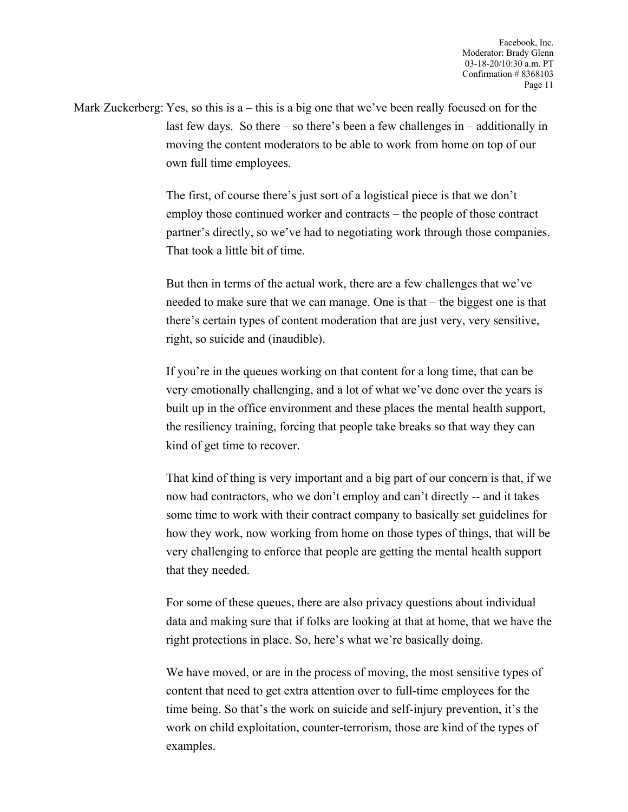Mark Zuckerberg: Yes, so this is a – this is a big one that we've been really focused on for the last few days. So there – so there's been a few challenges in – additionally in moving the content moderators to be able to work from home on top of our own full time employees.

> The first, of course there's just sort of a logistical piece is that we don't employ those continued worker and contracts – the people of those contract partner's directly, so we've had to negotiating work through those companies. That took a little bit of time.

> But then in terms of the actual work, there are a few challenges that we've needed to make sure that we can manage. One is that – the biggest one is that there's certain types of content moderation that are just very, very sensitive, right, so suicide and (inaudible).

> If you're in the queues working on that content for a long time, that can be very emotionally challenging, and a lot of what we've done over the years is built up in the office environment and these places the mental health support, the resiliency training, forcing that people take breaks so that way they can kind of get time to recover.

That kind of thing is very important and a big part of our concern is that, if we now had contractors, who we don't employ and can't directly -- and it takes some time to work with their contract company to basically set guidelines for how they work, now working from home on those types of things, that will be very challenging to enforce that people are getting the mental health support that they needed.

For some of these queues, there are also privacy questions about individual data and making sure that if folks are looking at that at home, that we have the right protections in place. So, here's what we're basically doing.

We have moved, or are in the process of moving, the most sensitive types of content that need to get extra attention over to full-time employees for the time being. So that's the work on suicide and self-injury prevention, it's the work on child exploitation, counter-terrorism, those are kind of the types of examples.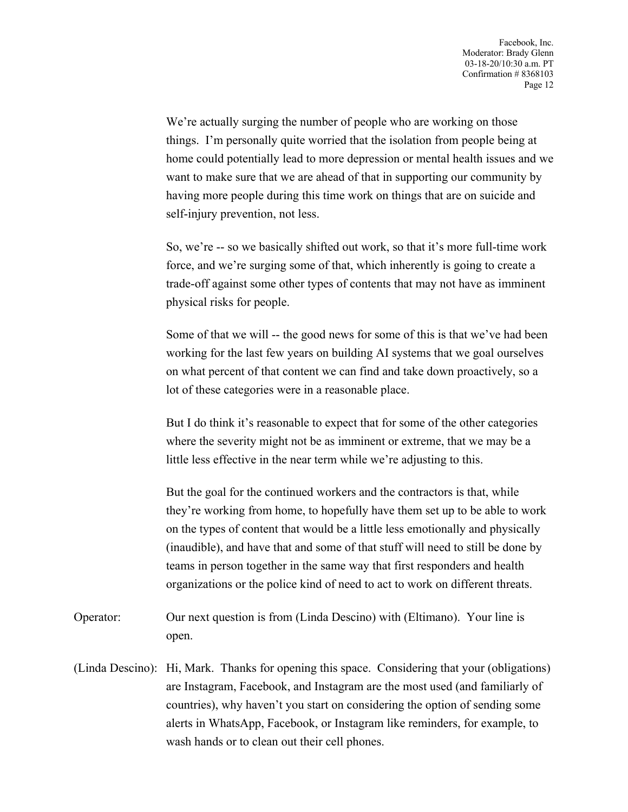We're actually surging the number of people who are working on those things. I'm personally quite worried that the isolation from people being at home could potentially lead to more depression or mental health issues and we want to make sure that we are ahead of that in supporting our community by having more people during this time work on things that are on suicide and self-injury prevention, not less.

So, we're -- so we basically shifted out work, so that it's more full-time work force, and we're surging some of that, which inherently is going to create a trade-off against some other types of contents that may not have as imminent physical risks for people.

Some of that we will -- the good news for some of this is that we've had been working for the last few years on building AI systems that we goal ourselves on what percent of that content we can find and take down proactively, so a lot of these categories were in a reasonable place.

But I do think it's reasonable to expect that for some of the other categories where the severity might not be as imminent or extreme, that we may be a little less effective in the near term while we're adjusting to this.

But the goal for the continued workers and the contractors is that, while they're working from home, to hopefully have them set up to be able to work on the types of content that would be a little less emotionally and physically (inaudible), and have that and some of that stuff will need to still be done by teams in person together in the same way that first responders and health organizations or the police kind of need to act to work on different threats.

- Operator: Our next question is from (Linda Descino) with (Eltimano). Your line is open.
- (Linda Descino): Hi, Mark. Thanks for opening this space. Considering that your (obligations) are Instagram, Facebook, and Instagram are the most used (and familiarly of countries), why haven't you start on considering the option of sending some alerts in WhatsApp, Facebook, or Instagram like reminders, for example, to wash hands or to clean out their cell phones.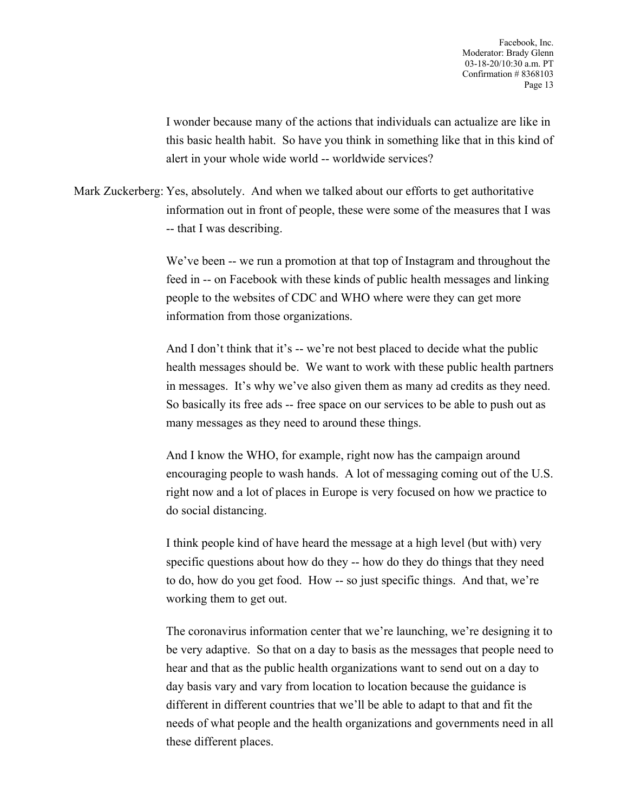I wonder because many of the actions that individuals can actualize are like in this basic health habit. So have you think in something like that in this kind of alert in your whole wide world -- worldwide services?

Mark Zuckerberg: Yes, absolutely. And when we talked about our efforts to get authoritative information out in front of people, these were some of the measures that I was -- that I was describing.

> We've been -- we run a promotion at that top of Instagram and throughout the feed in -- on Facebook with these kinds of public health messages and linking people to the websites of CDC and WHO where were they can get more information from those organizations.

> And I don't think that it's -- we're not best placed to decide what the public health messages should be. We want to work with these public health partners in messages. It's why we've also given them as many ad credits as they need. So basically its free ads -- free space on our services to be able to push out as many messages as they need to around these things.

> And I know the WHO, for example, right now has the campaign around encouraging people to wash hands. A lot of messaging coming out of the U.S. right now and a lot of places in Europe is very focused on how we practice to do social distancing.

I think people kind of have heard the message at a high level (but with) very specific questions about how do they -- how do they do things that they need to do, how do you get food. How -- so just specific things. And that, we're working them to get out.

The coronavirus information center that we're launching, we're designing it to be very adaptive. So that on a day to basis as the messages that people need to hear and that as the public health organizations want to send out on a day to day basis vary and vary from location to location because the guidance is different in different countries that we'll be able to adapt to that and fit the needs of what people and the health organizations and governments need in all these different places.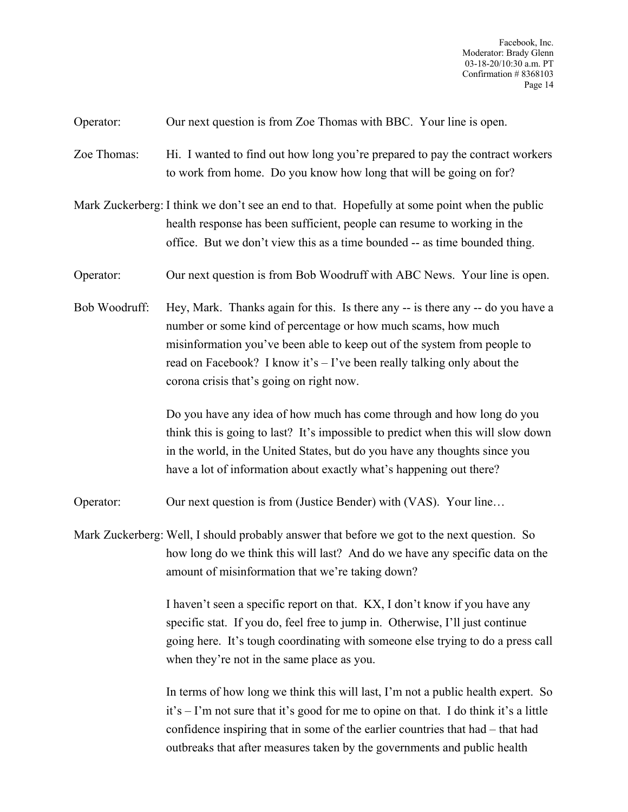Operator: Our next question is from Zoe Thomas with BBC. Your line is open.

- Zoe Thomas: Hi. I wanted to find out how long you're prepared to pay the contract workers to work from home. Do you know how long that will be going on for?
- Mark Zuckerberg: I think we don't see an end to that. Hopefully at some point when the public health response has been sufficient, people can resume to working in the office. But we don't view this as a time bounded -- as time bounded thing.
- Operator: Our next question is from Bob Woodruff with ABC News. Your line is open.
- Bob Woodruff: Hey, Mark. Thanks again for this. Is there any -- is there any -- do you have a number or some kind of percentage or how much scams, how much misinformation you've been able to keep out of the system from people to read on Facebook? I know it's  $-$  I've been really talking only about the corona crisis that's going on right now.

Do you have any idea of how much has come through and how long do you think this is going to last? It's impossible to predict when this will slow down in the world, in the United States, but do you have any thoughts since you have a lot of information about exactly what's happening out there?

- Operator: Our next question is from (Justice Bender) with (VAS). Your line…
- Mark Zuckerberg: Well, I should probably answer that before we got to the next question. So how long do we think this will last? And do we have any specific data on the amount of misinformation that we're taking down?

I haven't seen a specific report on that. KX, I don't know if you have any specific stat. If you do, feel free to jump in. Otherwise, I'll just continue going here. It's tough coordinating with someone else trying to do a press call when they're not in the same place as you.

In terms of how long we think this will last, I'm not a public health expert. So it's – I'm not sure that it's good for me to opine on that. I do think it's a little confidence inspiring that in some of the earlier countries that had – that had outbreaks that after measures taken by the governments and public health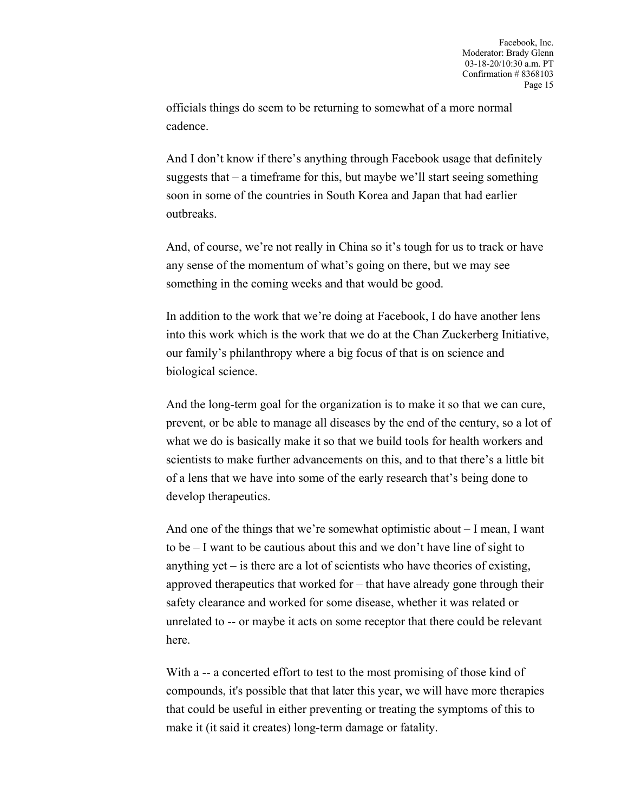officials things do seem to be returning to somewhat of a more normal cadence.

And I don't know if there's anything through Facebook usage that definitely suggests that – a timeframe for this, but maybe we'll start seeing something soon in some of the countries in South Korea and Japan that had earlier outbreaks.

And, of course, we're not really in China so it's tough for us to track or have any sense of the momentum of what's going on there, but we may see something in the coming weeks and that would be good.

In addition to the work that we're doing at Facebook, I do have another lens into this work which is the work that we do at the Chan Zuckerberg Initiative, our family's philanthropy where a big focus of that is on science and biological science.

And the long-term goal for the organization is to make it so that we can cure, prevent, or be able to manage all diseases by the end of the century, so a lot of what we do is basically make it so that we build tools for health workers and scientists to make further advancements on this, and to that there's a little bit of a lens that we have into some of the early research that's being done to develop therapeutics.

And one of the things that we're somewhat optimistic about – I mean, I want to be – I want to be cautious about this and we don't have line of sight to anything yet – is there are a lot of scientists who have theories of existing, approved therapeutics that worked for – that have already gone through their safety clearance and worked for some disease, whether it was related or unrelated to -- or maybe it acts on some receptor that there could be relevant here.

With a -- a concerted effort to test to the most promising of those kind of compounds, it's possible that that later this year, we will have more therapies that could be useful in either preventing or treating the symptoms of this to make it (it said it creates) long-term damage or fatality.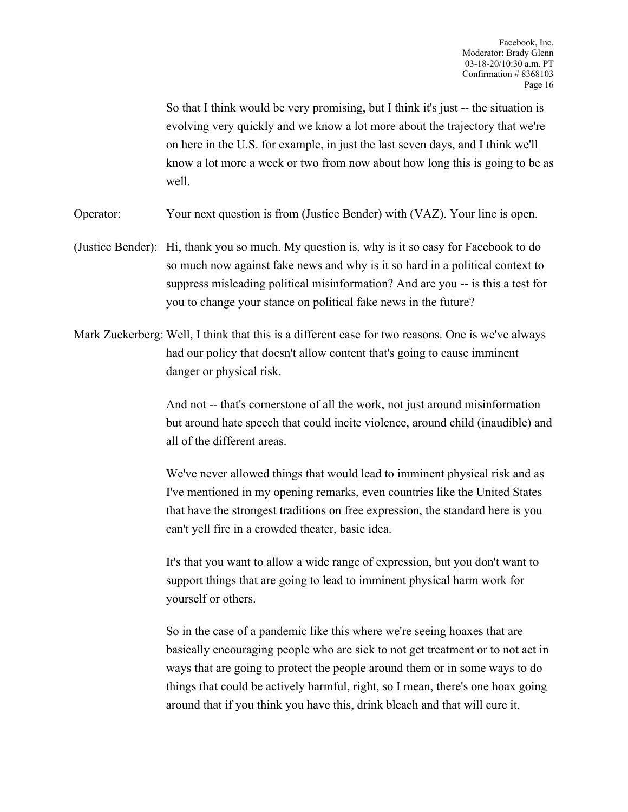So that I think would be very promising, but I think it's just  $-$  the situation is evolving very quickly and we know a lot more about the trajectory that we're on here in the U.S. for example, in just the last seven days, and I think we'll know a lot more a week or two from now about how long this is going to be as well.

Operator: Your next question is from (Justice Bender) with (VAZ). Your line is open.

- (Justice Bender): Hi, thank you so much. My question is, why is it so easy for Facebook to do so much now against fake news and why is it so hard in a political context to suppress misleading political misinformation? And are you -- is this a test for you to change your stance on political fake news in the future?
- Mark Zuckerberg: Well, I think that this is a different case for two reasons. One is we've always had our policy that doesn't allow content that's going to cause imminent danger or physical risk.

And not -- that's cornerstone of all the work, not just around misinformation but around hate speech that could incite violence, around child (inaudible) and all of the different areas.

We've never allowed things that would lead to imminent physical risk and as I've mentioned in my opening remarks, even countries like the United States that have the strongest traditions on free expression, the standard here is you can't yell fire in a crowded theater, basic idea.

It's that you want to allow a wide range of expression, but you don't want to support things that are going to lead to imminent physical harm work for yourself or others.

So in the case of a pandemic like this where we're seeing hoaxes that are basically encouraging people who are sick to not get treatment or to not act in ways that are going to protect the people around them or in some ways to do things that could be actively harmful, right, so I mean, there's one hoax going around that if you think you have this, drink bleach and that will cure it.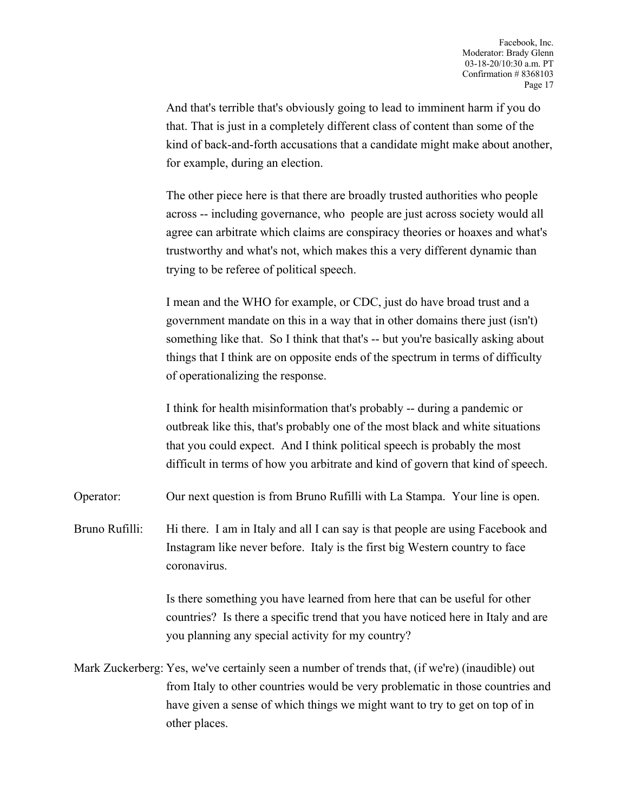And that's terrible that's obviously going to lead to imminent harm if you do that. That is just in a completely different class of content than some of the kind of back-and-forth accusations that a candidate might make about another, for example, during an election.

The other piece here is that there are broadly trusted authorities who people across -- including governance, who people are just across society would all agree can arbitrate which claims are conspiracy theories or hoaxes and what's trustworthy and what's not, which makes this a very different dynamic than trying to be referee of political speech.

I mean and the WHO for example, or CDC, just do have broad trust and a government mandate on this in a way that in other domains there just (isn't) something like that. So I think that that's -- but you're basically asking about things that I think are on opposite ends of the spectrum in terms of difficulty of operationalizing the response.

I think for health misinformation that's probably -- during a pandemic or outbreak like this, that's probably one of the most black and white situations that you could expect. And I think political speech is probably the most difficult in terms of how you arbitrate and kind of govern that kind of speech.

Operator: Our next question is from Bruno Rufilli with La Stampa. Your line is open.

Bruno Rufilli: Hi there. I am in Italy and all I can say is that people are using Facebook and Instagram like never before. Italy is the first big Western country to face coronavirus.

> Is there something you have learned from here that can be useful for other countries? Is there a specific trend that you have noticed here in Italy and are you planning any special activity for my country?

Mark Zuckerberg: Yes, we've certainly seen a number of trends that, (if we're) (inaudible) out from Italy to other countries would be very problematic in those countries and have given a sense of which things we might want to try to get on top of in other places.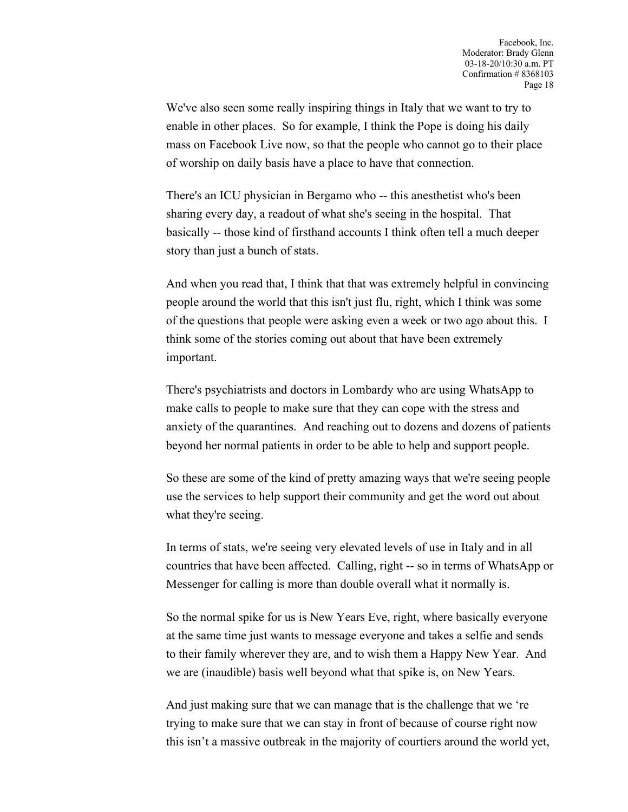We've also seen some really inspiring things in Italy that we want to try to enable in other places. So for example, I think the Pope is doing his daily mass on Facebook Live now, so that the people who cannot go to their place of worship on daily basis have a place to have that connection.

There's an ICU physician in Bergamo who -- this anesthetist who's been sharing every day, a readout of what she's seeing in the hospital. That basically -- those kind of firsthand accounts I think often tell a much deeper story than just a bunch of stats.

And when you read that, I think that that was extremely helpful in convincing people around the world that this isn't just flu, right, which I think was some of the questions that people were asking even a week or two ago about this. I think some of the stories coming out about that have been extremely important.

There's psychiatrists and doctors in Lombardy who are using WhatsApp to make calls to people to make sure that they can cope with the stress and anxiety of the quarantines. And reaching out to dozens and dozens of patients beyond her normal patients in order to be able to help and support people.

So these are some of the kind of pretty amazing ways that we're seeing people use the services to help support their community and get the word out about what they're seeing.

In terms of stats, we're seeing very elevated levels of use in Italy and in all countries that have been affected. Calling, right -- so in terms of WhatsApp or Messenger for calling is more than double overall what it normally is.

So the normal spike for us is New Years Eve, right, where basically everyone at the same time just wants to message everyone and takes a selfie and sends to their family wherever they are, and to wish them a Happy New Year. And we are (inaudible) basis well beyond what that spike is, on New Years.

And just making sure that we can manage that is the challenge that we 're trying to make sure that we can stay in front of because of course right now this isn't a massive outbreak in the majority of courtiers around the world yet,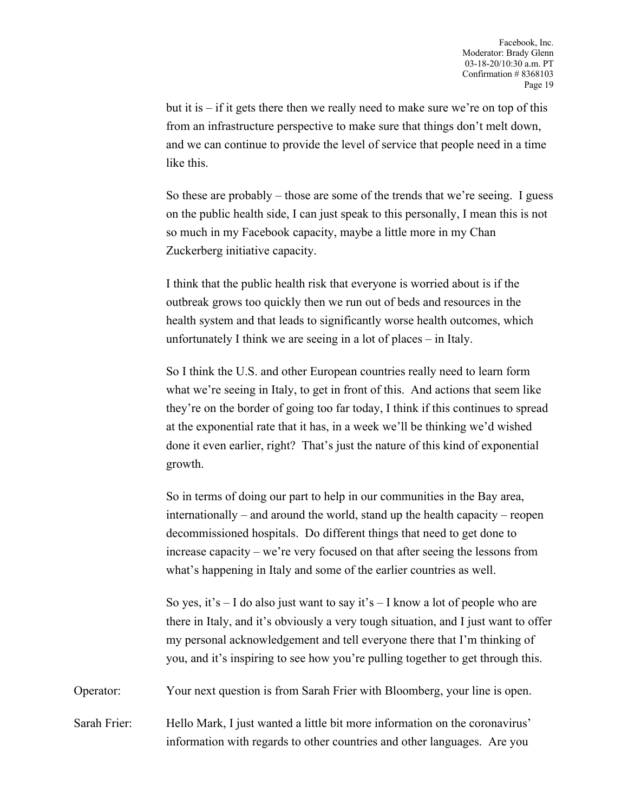but it is – if it gets there then we really need to make sure we're on top of this from an infrastructure perspective to make sure that things don't melt down, and we can continue to provide the level of service that people need in a time like this.

So these are probably – those are some of the trends that we're seeing. I guess on the public health side, I can just speak to this personally, I mean this is not so much in my Facebook capacity, maybe a little more in my Chan Zuckerberg initiative capacity.

I think that the public health risk that everyone is worried about is if the outbreak grows too quickly then we run out of beds and resources in the health system and that leads to significantly worse health outcomes, which unfortunately I think we are seeing in a lot of places – in Italy.

So I think the U.S. and other European countries really need to learn form what we're seeing in Italy, to get in front of this. And actions that seem like they're on the border of going too far today, I think if this continues to spread at the exponential rate that it has, in a week we'll be thinking we'd wished done it even earlier, right? That's just the nature of this kind of exponential growth.

So in terms of doing our part to help in our communities in the Bay area, internationally – and around the world, stand up the health capacity – reopen decommissioned hospitals. Do different things that need to get done to increase capacity – we're very focused on that after seeing the lessons from what's happening in Italy and some of the earlier countries as well.

So yes, it's  $-1$  do also just want to say it's  $-1$  know a lot of people who are there in Italy, and it's obviously a very tough situation, and I just want to offer my personal acknowledgement and tell everyone there that I'm thinking of you, and it's inspiring to see how you're pulling together to get through this.

Operator: Your next question is from Sarah Frier with Bloomberg, your line is open.

Sarah Frier: Hello Mark, I just wanted a little bit more information on the coronavirus' information with regards to other countries and other languages. Are you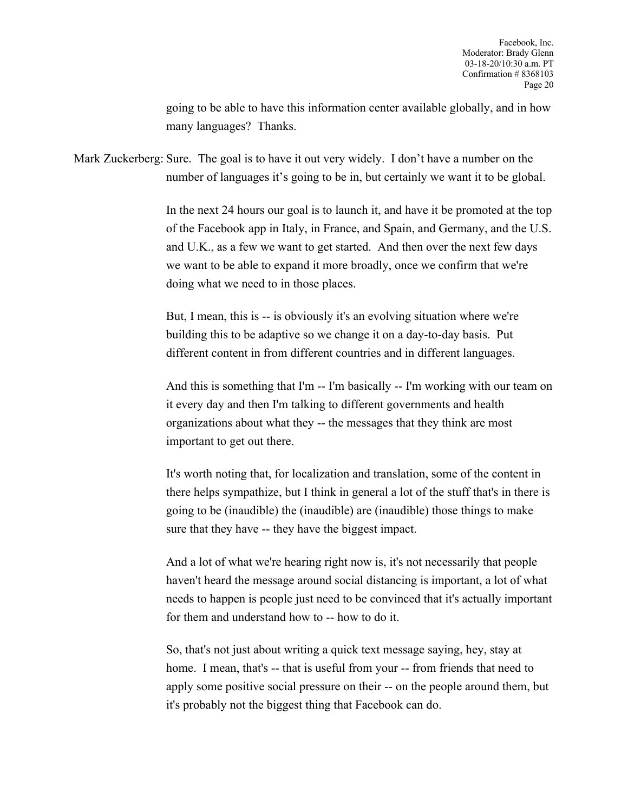going to be able to have this information center available globally, and in how many languages? Thanks.

Mark Zuckerberg: Sure. The goal is to have it out very widely. I don't have a number on the number of languages it's going to be in, but certainly we want it to be global.

> In the next 24 hours our goal is to launch it, and have it be promoted at the top of the Facebook app in Italy, in France, and Spain, and Germany, and the U.S. and U.K., as a few we want to get started. And then over the next few days we want to be able to expand it more broadly, once we confirm that we're doing what we need to in those places.

But, I mean, this is -- is obviously it's an evolving situation where we're building this to be adaptive so we change it on a day-to-day basis. Put different content in from different countries and in different languages.

And this is something that I'm -- I'm basically -- I'm working with our team on it every day and then I'm talking to different governments and health organizations about what they -- the messages that they think are most important to get out there.

It's worth noting that, for localization and translation, some of the content in there helps sympathize, but I think in general a lot of the stuff that's in there is going to be (inaudible) the (inaudible) are (inaudible) those things to make sure that they have -- they have the biggest impact.

And a lot of what we're hearing right now is, it's not necessarily that people haven't heard the message around social distancing is important, a lot of what needs to happen is people just need to be convinced that it's actually important for them and understand how to -- how to do it.

So, that's not just about writing a quick text message saying, hey, stay at home. I mean, that's -- that is useful from your -- from friends that need to apply some positive social pressure on their -- on the people around them, but it's probably not the biggest thing that Facebook can do.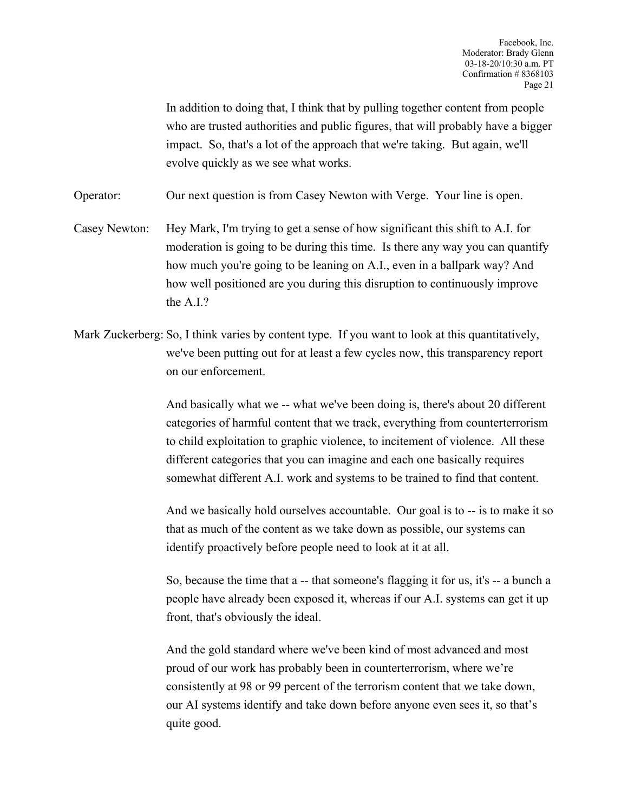In addition to doing that, I think that by pulling together content from people who are trusted authorities and public figures, that will probably have a bigger impact. So, that's a lot of the approach that we're taking. But again, we'll evolve quickly as we see what works.

Operator: Our next question is from Casey Newton with Verge. Your line is open.

Casey Newton: Hey Mark, I'm trying to get a sense of how significant this shift to A.I. for moderation is going to be during this time. Is there any way you can quantify how much you're going to be leaning on A.I., even in a ballpark way? And how well positioned are you during this disruption to continuously improve the A.I.?

Mark Zuckerberg: So, I think varies by content type. If you want to look at this quantitatively, we've been putting out for at least a few cycles now, this transparency report on our enforcement.

> And basically what we -- what we've been doing is, there's about 20 different categories of harmful content that we track, everything from counterterrorism to child exploitation to graphic violence, to incitement of violence. All these different categories that you can imagine and each one basically requires somewhat different A.I. work and systems to be trained to find that content.

> And we basically hold ourselves accountable. Our goal is to -- is to make it so that as much of the content as we take down as possible, our systems can identify proactively before people need to look at it at all.

> So, because the time that a -- that someone's flagging it for us, it's -- a bunch a people have already been exposed it, whereas if our A.I. systems can get it up front, that's obviously the ideal.

And the gold standard where we've been kind of most advanced and most proud of our work has probably been in counterterrorism, where we're consistently at 98 or 99 percent of the terrorism content that we take down, our AI systems identify and take down before anyone even sees it, so that's quite good.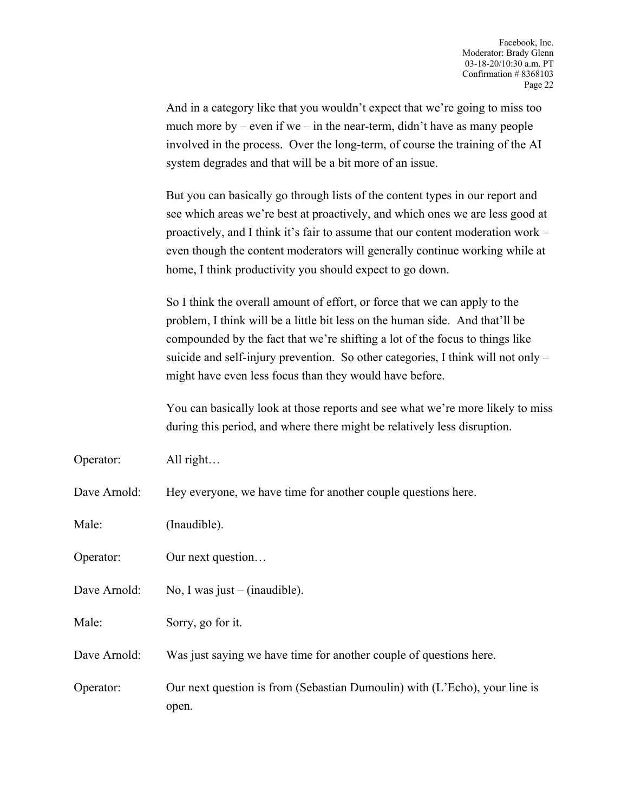And in a category like that you wouldn't expect that we're going to miss too much more by – even if we – in the near-term, didn't have as many people involved in the process. Over the long-term, of course the training of the AI system degrades and that will be a bit more of an issue.

But you can basically go through lists of the content types in our report and see which areas we're best at proactively, and which ones we are less good at proactively, and I think it's fair to assume that our content moderation work – even though the content moderators will generally continue working while at home, I think productivity you should expect to go down.

So I think the overall amount of effort, or force that we can apply to the problem, I think will be a little bit less on the human side. And that'll be compounded by the fact that we're shifting a lot of the focus to things like suicide and self-injury prevention. So other categories, I think will not only – might have even less focus than they would have before.

You can basically look at those reports and see what we're more likely to miss during this period, and where there might be relatively less disruption.

Operator: All right…

Dave Arnold: Hey everyone, we have time for another couple questions here.

Male: (Inaudible).

Operator: Our next question...

Dave Arnold: No, I was just – (inaudible).

Male: Sorry, go for it.

Dave Arnold: Was just saying we have time for another couple of questions here.

Operator: Our next question is from (Sebastian Dumoulin) with (L'Echo), your line is open.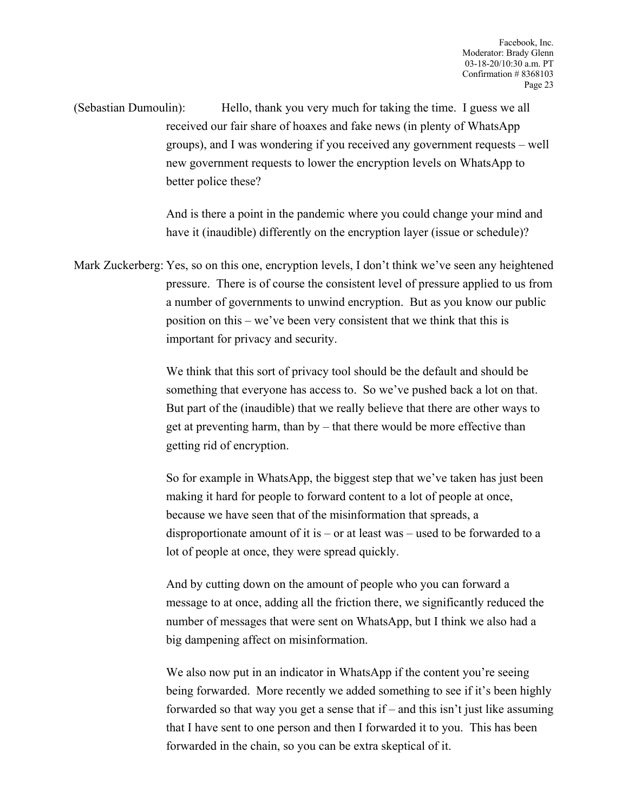(Sebastian Dumoulin): Hello, thank you very much for taking the time. I guess we all received our fair share of hoaxes and fake news (in plenty of WhatsApp groups), and I was wondering if you received any government requests – well new government requests to lower the encryption levels on WhatsApp to better police these?

> And is there a point in the pandemic where you could change your mind and have it (inaudible) differently on the encryption layer (issue or schedule)?

Mark Zuckerberg: Yes, so on this one, encryption levels, I don't think we've seen any heightened pressure. There is of course the consistent level of pressure applied to us from a number of governments to unwind encryption. But as you know our public position on this – we've been very consistent that we think that this is important for privacy and security.

> We think that this sort of privacy tool should be the default and should be something that everyone has access to. So we've pushed back a lot on that. But part of the (inaudible) that we really believe that there are other ways to get at preventing harm, than by – that there would be more effective than getting rid of encryption.

> So for example in WhatsApp, the biggest step that we've taken has just been making it hard for people to forward content to a lot of people at once, because we have seen that of the misinformation that spreads, a disproportionate amount of it is – or at least was – used to be forwarded to a lot of people at once, they were spread quickly.

> And by cutting down on the amount of people who you can forward a message to at once, adding all the friction there, we significantly reduced the number of messages that were sent on WhatsApp, but I think we also had a big dampening affect on misinformation.

We also now put in an indicator in WhatsApp if the content you're seeing being forwarded. More recently we added something to see if it's been highly forwarded so that way you get a sense that if – and this isn't just like assuming that I have sent to one person and then I forwarded it to you. This has been forwarded in the chain, so you can be extra skeptical of it.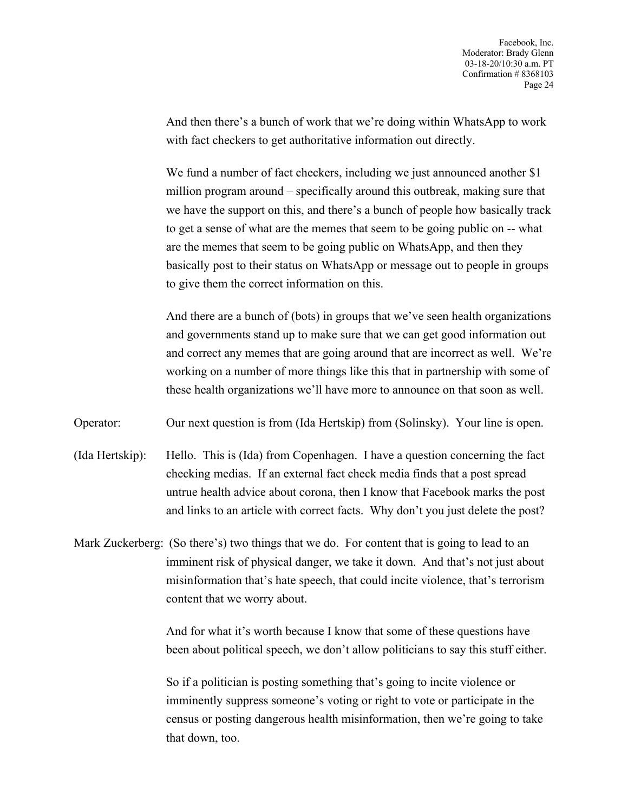And then there's a bunch of work that we're doing within WhatsApp to work with fact checkers to get authoritative information out directly.

We fund a number of fact checkers, including we just announced another \$1 million program around – specifically around this outbreak, making sure that we have the support on this, and there's a bunch of people how basically track to get a sense of what are the memes that seem to be going public on -- what are the memes that seem to be going public on WhatsApp, and then they basically post to their status on WhatsApp or message out to people in groups to give them the correct information on this.

And there are a bunch of (bots) in groups that we've seen health organizations and governments stand up to make sure that we can get good information out and correct any memes that are going around that are incorrect as well. We're working on a number of more things like this that in partnership with some of these health organizations we'll have more to announce on that soon as well.

Operator: Our next question is from (Ida Hertskip) from (Solinsky). Your line is open.

(Ida Hertskip): Hello. This is (Ida) from Copenhagen. I have a question concerning the fact checking medias. If an external fact check media finds that a post spread untrue health advice about corona, then I know that Facebook marks the post and links to an article with correct facts. Why don't you just delete the post?

Mark Zuckerberg: (So there's) two things that we do. For content that is going to lead to an imminent risk of physical danger, we take it down. And that's not just about misinformation that's hate speech, that could incite violence, that's terrorism content that we worry about.

> And for what it's worth because I know that some of these questions have been about political speech, we don't allow politicians to say this stuff either.

So if a politician is posting something that's going to incite violence or imminently suppress someone's voting or right to vote or participate in the census or posting dangerous health misinformation, then we're going to take that down, too.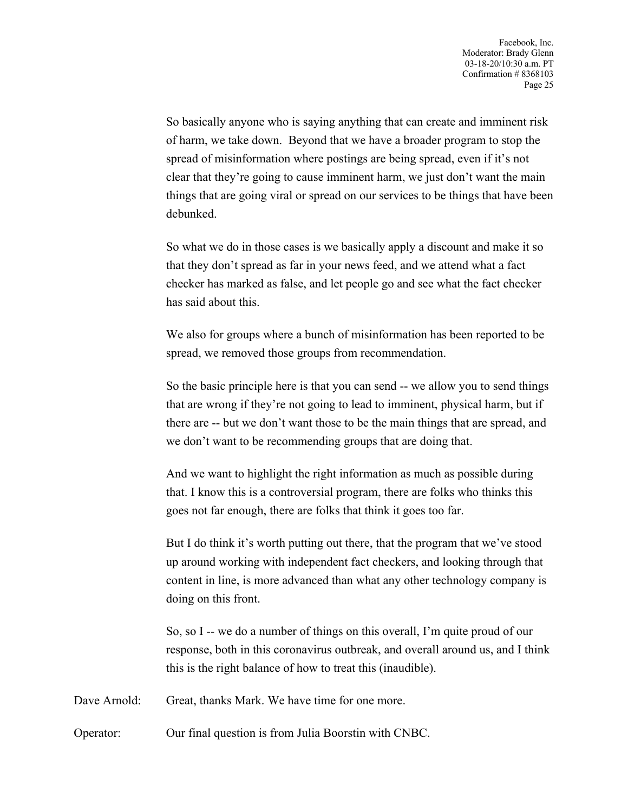So basically anyone who is saying anything that can create and imminent risk of harm, we take down. Beyond that we have a broader program to stop the spread of misinformation where postings are being spread, even if it's not clear that they're going to cause imminent harm, we just don't want the main things that are going viral or spread on our services to be things that have been debunked.

So what we do in those cases is we basically apply a discount and make it so that they don't spread as far in your news feed, and we attend what a fact checker has marked as false, and let people go and see what the fact checker has said about this.

We also for groups where a bunch of misinformation has been reported to be spread, we removed those groups from recommendation.

So the basic principle here is that you can send -- we allow you to send things that are wrong if they're not going to lead to imminent, physical harm, but if there are -- but we don't want those to be the main things that are spread, and we don't want to be recommending groups that are doing that.

And we want to highlight the right information as much as possible during that. I know this is a controversial program, there are folks who thinks this goes not far enough, there are folks that think it goes too far.

But I do think it's worth putting out there, that the program that we've stood up around working with independent fact checkers, and looking through that content in line, is more advanced than what any other technology company is doing on this front.

So, so I -- we do a number of things on this overall, I'm quite proud of our response, both in this coronavirus outbreak, and overall around us, and I think this is the right balance of how to treat this (inaudible).

Dave Arnold: Great, thanks Mark. We have time for one more.

Operator: Our final question is from Julia Boorstin with CNBC.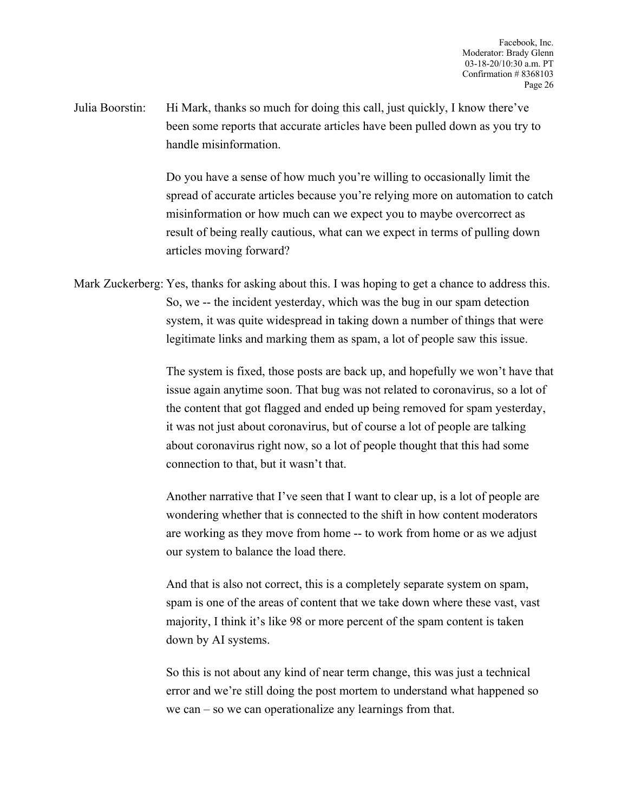Julia Boorstin: Hi Mark, thanks so much for doing this call, just quickly, I know there've been some reports that accurate articles have been pulled down as you try to handle misinformation.

> Do you have a sense of how much you're willing to occasionally limit the spread of accurate articles because you're relying more on automation to catch misinformation or how much can we expect you to maybe overcorrect as result of being really cautious, what can we expect in terms of pulling down articles moving forward?

Mark Zuckerberg: Yes, thanks for asking about this. I was hoping to get a chance to address this. So, we -- the incident yesterday, which was the bug in our spam detection system, it was quite widespread in taking down a number of things that were legitimate links and marking them as spam, a lot of people saw this issue.

> The system is fixed, those posts are back up, and hopefully we won't have that issue again anytime soon. That bug was not related to coronavirus, so a lot of the content that got flagged and ended up being removed for spam yesterday, it was not just about coronavirus, but of course a lot of people are talking about coronavirus right now, so a lot of people thought that this had some connection to that, but it wasn't that.

Another narrative that I've seen that I want to clear up, is a lot of people are wondering whether that is connected to the shift in how content moderators are working as they move from home -- to work from home or as we adjust our system to balance the load there.

And that is also not correct, this is a completely separate system on spam, spam is one of the areas of content that we take down where these vast, vast majority, I think it's like 98 or more percent of the spam content is taken down by AI systems.

So this is not about any kind of near term change, this was just a technical error and we're still doing the post mortem to understand what happened so we can – so we can operationalize any learnings from that.